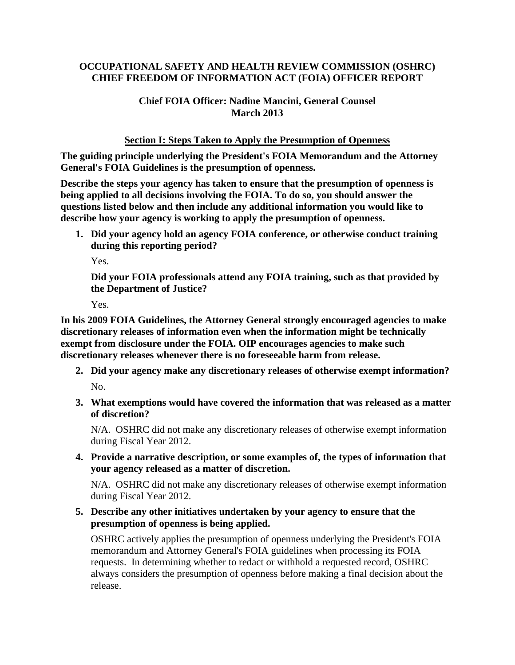# **OCCUPATIONAL SAFETY AND HEALTH REVIEW COMMISSION (OSHRC) CHIEF FREEDOM OF INFORMATION ACT (FOIA) OFFICER REPORT**

# **Chief FOIA Officer: Nadine Mancini, General Counsel March 2013**

## **Section I: Steps Taken to Apply the Presumption of Openness**

**The guiding principle underlying the President's FOIA Memorandum and the Attorney General's FOIA Guidelines is the presumption of openness.** 

**Describe the steps your agency has taken to ensure that the presumption of openness is being applied to all decisions involving the FOIA. To do so, you should answer the questions listed below and then include any additional information you would like to describe how your agency is working to apply the presumption of openness.** 

**1. Did your agency hold an agency FOIA conference, or otherwise conduct training during this reporting period?** 

Yes.

**Did your FOIA professionals attend any FOIA training, such as that provided by the Department of Justice?** 

Yes.

**In his 2009 FOIA Guidelines, the Attorney General strongly encouraged agencies to make discretionary releases of information even when the information might be technically exempt from disclosure under the FOIA. OIP encourages agencies to make such discretionary releases whenever there is no foreseeable harm from release.** 

- **2. Did your agency make any discretionary releases of otherwise exempt information?**  No.
- **3. What exemptions would have covered the information that was released as a matter of discretion?**

N/A. OSHRC did not make any discretionary releases of otherwise exempt information during Fiscal Year 2012.

**4. Provide a narrative description, or some examples of, the types of information that your agency released as a matter of discretion.** 

N/A. OSHRC did not make any discretionary releases of otherwise exempt information during Fiscal Year 2012.

**5. Describe any other initiatives undertaken by your agency to ensure that the presumption of openness is being applied.** 

OSHRC actively applies the presumption of openness underlying the President's FOIA memorandum and Attorney General's FOIA guidelines when processing its FOIA requests. In determining whether to redact or withhold a requested record, OSHRC always considers the presumption of openness before making a final decision about the release.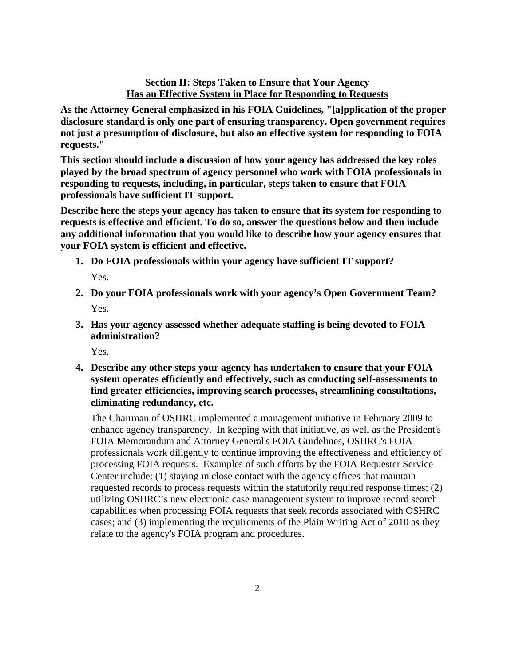## **Section II: Steps Taken to Ensure that Your Agency Has an Effective System in Place for Responding to Requests**

**As the Attorney General emphasized in his FOIA Guidelines, "[a]pplication of the proper disclosure standard is only one part of ensuring transparency. Open government requires not just a presumption of disclosure, but also an effective system for responding to FOIA requests."** 

**This section should include a discussion of how your agency has addressed the key roles played by the broad spectrum of agency personnel who work with FOIA professionals in responding to requests, including, in particular, steps taken to ensure that FOIA professionals have sufficient IT support.** 

**Describe here the steps your agency has taken to ensure that its system for responding to requests is effective and efficient. To do so, answer the questions below and then include any additional information that you would like to describe how your agency ensures that your FOIA system is efficient and effective.** 

- **1. Do FOIA professionals within your agency have sufficient IT support?**  Yes.
- **2. Do your FOIA professionals work with your agency's Open Government Team?**  Yes.
- **3. Has your agency assessed whether adequate staffing is being devoted to FOIA administration?**

Yes.

**4. Describe any other steps your agency has undertaken to ensure that your FOIA system operates efficiently and effectively, such as conducting self-assessments to find greater efficiencies, improving search processes, streamlining consultations, eliminating redundancy, etc.** 

The Chairman of OSHRC implemented a management initiative in February 2009 to enhance agency transparency. In keeping with that initiative, as well as the President's FOIA Memorandum and Attorney General's FOIA Guidelines, OSHRC's FOIA professionals work diligently to continue improving the effectiveness and efficiency of processing FOIA requests. Examples of such efforts by the FOIA Requester Service Center include: (1) staying in close contact with the agency offices that maintain requested records to process requests within the statutorily required response times; (2) utilizing OSHRC's new electronic case management system to improve record search capabilities when processing FOIA requests that seek records associated with OSHRC cases; and (3) implementing the requirements of the Plain Writing Act of 2010 as they relate to the agency's FOIA program and procedures.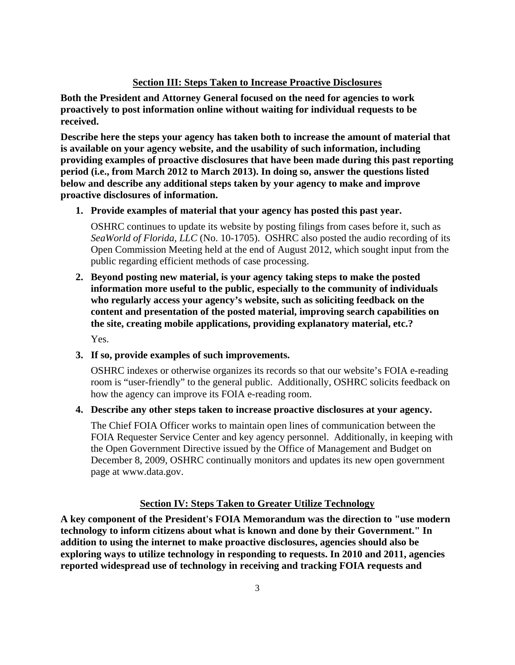## **Section III: Steps Taken to Increase Proactive Disclosures**

**Both the President and Attorney General focused on the need for agencies to work proactively to post information online without waiting for individual requests to be received.** 

**Describe here the steps your agency has taken both to increase the amount of material that is available on your agency website, and the usability of such information, including providing examples of proactive disclosures that have been made during this past reporting period (i.e., from March 2012 to March 2013). In doing so, answer the questions listed below and describe any additional steps taken by your agency to make and improve proactive disclosures of information.** 

**1. Provide examples of material that your agency has posted this past year.** 

OSHRC continues to update its website by posting filings from cases before it, such as *SeaWorld of Florida, LLC* (No. 10-1705). OSHRC also posted the audio recording of its Open Commission Meeting held at the end of August 2012, which sought input from the public regarding efficient methods of case processing.

**2. Beyond posting new material, is your agency taking steps to make the posted information more useful to the public, especially to the community of individuals who regularly access your agency's website, such as soliciting feedback on the content and presentation of the posted material, improving search capabilities on the site, creating mobile applications, providing explanatory material, etc.?**  Yes.

## **3. If so, provide examples of such improvements.**

OSHRC indexes or otherwise organizes its records so that our website's FOIA e-reading room is "user-friendly" to the general public. Additionally, OSHRC solicits feedback on how the agency can improve its FOIA e-reading room.

#### **4. Describe any other steps taken to increase proactive disclosures at your agency.**

The Chief FOIA Officer works to maintain open lines of communication between the FOIA Requester Service Center and key agency personnel. Additionally, in keeping with the Open Government Directive issued by the Office of Management and Budget on December 8, 2009, OSHRC continually monitors and updates its new open government page at www.data.gov.

#### **Section IV: Steps Taken to Greater Utilize Technology**

**A key component of the President's FOIA Memorandum was the direction to "use modern technology to inform citizens about what is known and done by their Government." In addition to using the internet to make proactive disclosures, agencies should also be exploring ways to utilize technology in responding to requests. In 2010 and 2011, agencies reported widespread use of technology in receiving and tracking FOIA requests and**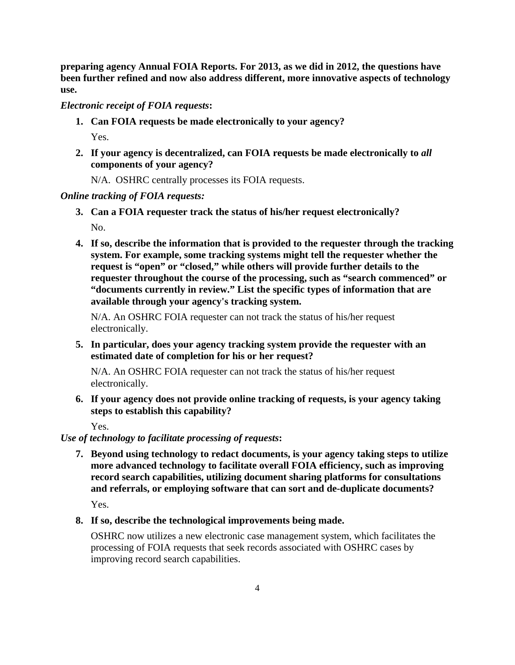**preparing agency Annual FOIA Reports. For 2013, as we did in 2012, the questions have been further refined and now also address different, more innovative aspects of technology use.** 

## *Electronic receipt of FOIA requests***:**

**1. Can FOIA requests be made electronically to your agency?** 

Yes.

- **2. If your agency is decentralized, can FOIA requests be made electronically to** *all*  **components of your agency?** 
	- N/A. OSHRC centrally processes its FOIA requests.

## *Online tracking of FOIA requests:*

- **3. Can a FOIA requester track the status of his/her request electronically?**  No.
- **4. If so, describe the information that is provided to the requester through the tracking system. For example, some tracking systems might tell the requester whether the request is "open" or "closed," while others will provide further details to the requester throughout the course of the processing, such as "search commenced" or "documents currently in review." List the specific types of information that are available through your agency's tracking system.**

N/A. An OSHRC FOIA requester can not track the status of his/her request electronically.

**5. In particular, does your agency tracking system provide the requester with an estimated date of completion for his or her request?** 

N/A. An OSHRC FOIA requester can not track the status of his/her request electronically.

**6. If your agency does not provide online tracking of requests, is your agency taking steps to establish this capability?** 

Yes.

# *Use of technology to facilitate processing of requests***:**

**7. Beyond using technology to redact documents, is your agency taking steps to utilize more advanced technology to facilitate overall FOIA efficiency, such as improving record search capabilities, utilizing document sharing platforms for consultations and referrals, or employing software that can sort and de-duplicate documents?** 

Yes.

**8. If so, describe the technological improvements being made.** 

OSHRC now utilizes a new electronic case management system, which facilitates the processing of FOIA requests that seek records associated with OSHRC cases by improving record search capabilities.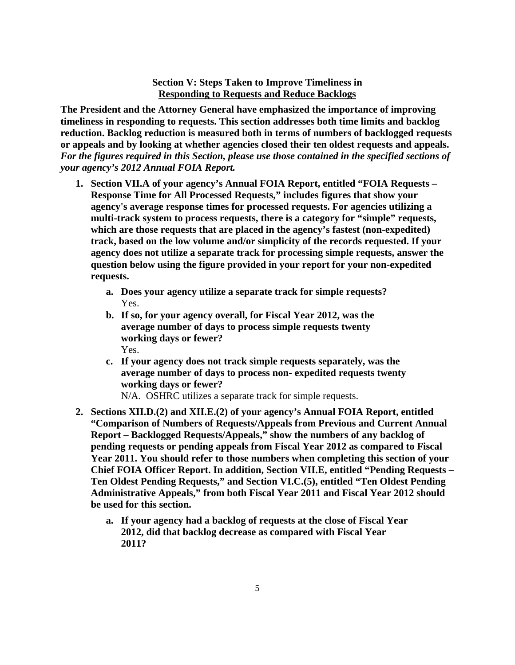### **Section V: Steps Taken to Improve Timeliness in Responding to Requests and Reduce Backlogs**

**The President and the Attorney General have emphasized the importance of improving timeliness in responding to requests. This section addresses both time limits and backlog reduction. Backlog reduction is measured both in terms of numbers of backlogged requests or appeals and by looking at whether agencies closed their ten oldest requests and appeals.**  *For the figures required in this Section, please use those contained in the specified sections of your agency's 2012 Annual FOIA Report.* 

- **1. Section VII.A of your agency's Annual FOIA Report, entitled "FOIA Requests Response Time for All Processed Requests," includes figures that show your agency's average response times for processed requests. For agencies utilizing a multi-track system to process requests, there is a category for "simple" requests, which are those requests that are placed in the agency's fastest (non-expedited) track, based on the low volume and/or simplicity of the records requested. If your agency does not utilize a separate track for processing simple requests, answer the question below using the figure provided in your report for your non-expedited requests.** 
	- **a. Does your agency utilize a separate track for simple requests?**  Yes.
	- **b. If so, for your agency overall, for Fiscal Year 2012, was the average number of days to process simple requests twenty working days or fewer?**  Yes.
	- **c. If your agency does not track simple requests separately, was the average number of days to process non- expedited requests twenty working days or fewer?**

N/A. OSHRC utilizes a separate track for simple requests.

- **2. Sections XII.D.(2) and XII.E.(2) of your agency's Annual FOIA Report, entitled "Comparison of Numbers of Requests/Appeals from Previous and Current Annual Report – Backlogged Requests/Appeals," show the numbers of any backlog of pending requests or pending appeals from Fiscal Year 2012 as compared to Fiscal Year 2011. You should refer to those numbers when completing this section of your Chief FOIA Officer Report. In addition, Section VII.E, entitled "Pending Requests – Ten Oldest Pending Requests," and Section VI.C.(5), entitled "Ten Oldest Pending Administrative Appeals," from both Fiscal Year 2011 and Fiscal Year 2012 should be used for this section.** 
	- **a. If your agency had a backlog of requests at the close of Fiscal Year 2012, did that backlog decrease as compared with Fiscal Year 2011?**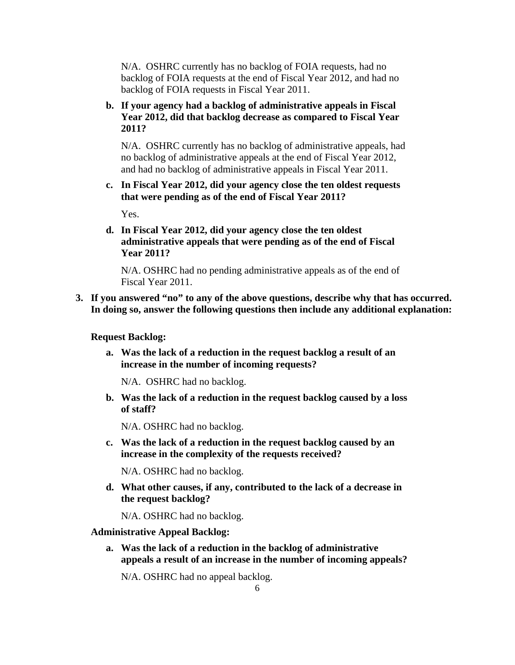N/A. OSHRC currently has no backlog of FOIA requests, had no backlog of FOIA requests at the end of Fiscal Year 2012, and had no backlog of FOIA requests in Fiscal Year 2011.

**b. If your agency had a backlog of administrative appeals in Fiscal Year 2012, did that backlog decrease as compared to Fiscal Year 2011?** 

N/A. OSHRC currently has no backlog of administrative appeals, had no backlog of administrative appeals at the end of Fiscal Year 2012, and had no backlog of administrative appeals in Fiscal Year 2011.

**c. In Fiscal Year 2012, did your agency close the ten oldest requests that were pending as of the end of Fiscal Year 2011?** 

Yes.

**d. In Fiscal Year 2012, did your agency close the ten oldest administrative appeals that were pending as of the end of Fiscal Year 2011?** 

N/A. OSHRC had no pending administrative appeals as of the end of Fiscal Year 2011.

**3. If you answered "no" to any of the above questions, describe why that has occurred. In doing so, answer the following questions then include any additional explanation:** 

### **Request Backlog:**

**a. Was the lack of a reduction in the request backlog a result of an increase in the number of incoming requests?** 

N/A. OSHRC had no backlog.

**b. Was the lack of a reduction in the request backlog caused by a loss of staff?** 

N/A. OSHRC had no backlog.

**c. Was the lack of a reduction in the request backlog caused by an increase in the complexity of the requests received?** 

N/A. OSHRC had no backlog.

**d. What other causes, if any, contributed to the lack of a decrease in the request backlog?** 

N/A. OSHRC had no backlog.

#### **Administrative Appeal Backlog:**

**a. Was the lack of a reduction in the backlog of administrative appeals a result of an increase in the number of incoming appeals?** 

N/A. OSHRC had no appeal backlog.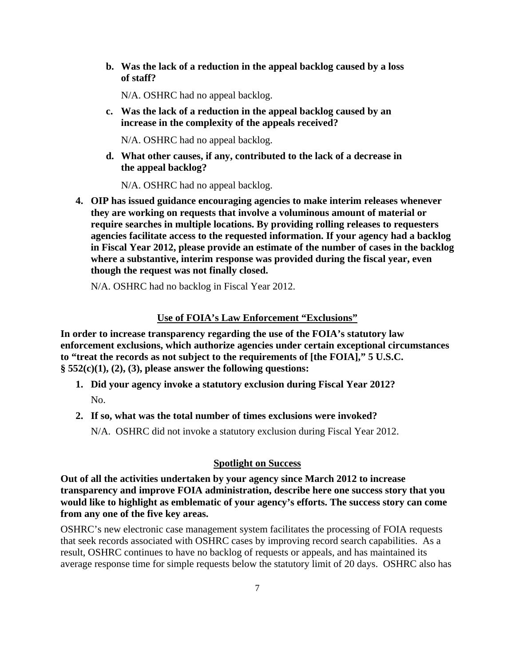**b. Was the lack of a reduction in the appeal backlog caused by a loss of staff?** 

N/A. OSHRC had no appeal backlog.

**c. Was the lack of a reduction in the appeal backlog caused by an increase in the complexity of the appeals received?** 

N/A. OSHRC had no appeal backlog.

**d. What other causes, if any, contributed to the lack of a decrease in the appeal backlog?** 

N/A. OSHRC had no appeal backlog.

**4. OIP has issued guidance encouraging agencies to make interim releases whenever they are working on requests that involve a voluminous amount of material or require searches in multiple locations. By providing rolling releases to requesters agencies facilitate access to the requested information. If your agency had a backlog in Fiscal Year 2012, please provide an estimate of the number of cases in the backlog where a substantive, interim response was provided during the fiscal year, even though the request was not finally closed.** 

N/A. OSHRC had no backlog in Fiscal Year 2012.

#### **Use of FOIA's Law Enforcement "Exclusions"**

**In order to increase transparency regarding the use of the FOIA's statutory law enforcement exclusions, which authorize agencies under certain exceptional circumstances to "treat the records as not subject to the requirements of [the FOIA]," 5 U.S.C. § 552(c)(1), (2), (3), please answer the following questions:** 

- **1. Did your agency invoke a statutory exclusion during Fiscal Year 2012?**  No.
- **2. If so, what was the total number of times exclusions were invoked?**  N/A. OSHRC did not invoke a statutory exclusion during Fiscal Year 2012.

### **Spotlight on Success**

**Out of all the activities undertaken by your agency since March 2012 to increase transparency and improve FOIA administration, describe here one success story that you would like to highlight as emblematic of your agency's efforts. The success story can come from any one of the five key areas.** 

OSHRC's new electronic case management system facilitates the processing of FOIA requests that seek records associated with OSHRC cases by improving record search capabilities. As a result, OSHRC continues to have no backlog of requests or appeals, and has maintained its average response time for simple requests below the statutory limit of 20 days. OSHRC also has